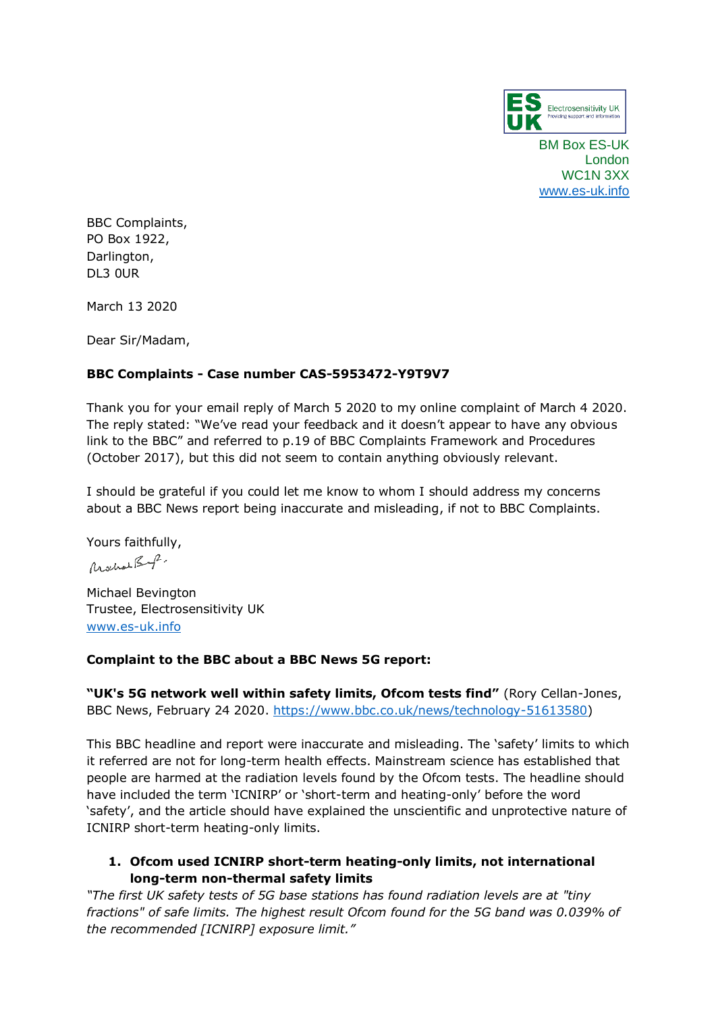

BM Box ES-UK London WC1N 3XX [www.es-uk.info](http://www.es-uk.info/)

BBC Complaints, PO Box 1922, Darlington, DL3 0UR

March 13 2020

Dear Sir/Madam,

## **BBC Complaints - Case number CAS-5953472-Y9T9V7**

Thank you for your email reply of March 5 2020 to my online complaint of March 4 2020. The reply stated: "We've read your feedback and it doesn't appear to have any obvious link to the BBC" and referred to p.19 of BBC Complaints Framework and Procedures (October 2017), but this did not seem to contain anything obviously relevant.

I should be grateful if you could let me know to whom I should address my concerns about a BBC News report being inaccurate and misleading, if not to BBC Complaints.

Yours faithfully,

Mochae Book.

Michael Bevington Trustee, Electrosensitivity UK [www.es-uk.info](http://www.es-uk.info/)

## **Complaint to the BBC about a BBC News 5G report:**

**"UK's 5G network well within safety limits, Ofcom tests find"** (Rory Cellan-Jones, BBC News, February 24 2020. [https://www.bbc.co.uk/news/technology-51613580\)](https://www.bbc.co.uk/news/technology-51613580)

This BBC headline and report were inaccurate and misleading. The 'safety' limits to which it referred are not for long-term health effects. Mainstream science has established that people are harmed at the radiation levels found by the Ofcom tests. The headline should have included the term 'ICNIRP' or 'short-term and heating-only' before the word 'safety', and the article should have explained the unscientific and unprotective nature of ICNIRP short-term heating-only limits.

# **1. Ofcom used ICNIRP short-term heating-only limits, not international long-term non-thermal safety limits**

*"The first UK safety tests of 5G base stations has found radiation levels are at "tiny fractions" of safe limits. The highest result Ofcom found for the 5G band was 0.039% of the recommended [ICNIRP] exposure limit."*